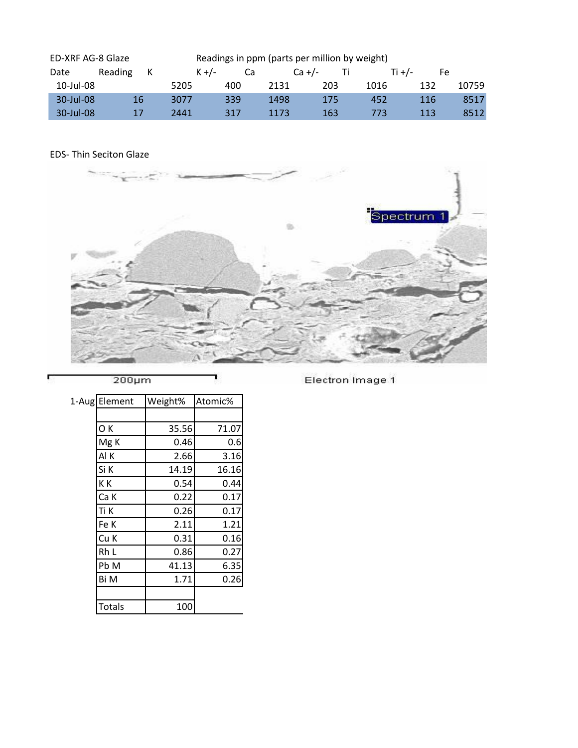| ED-XRF AG-8 Glaze |         |    |           |     | Readings in ppm (parts per million by weight) |     |        |     |       |
|-------------------|---------|----|-----------|-----|-----------------------------------------------|-----|--------|-----|-------|
| Date              | Reading | к  | $K + / -$ | Ca  | $Ca +/-$                                      |     | Ti +/- | Fe  |       |
| 10-Jul-08         |         |    | 5205      | 400 | 2131                                          | 203 | 1016   | 132 | 10759 |
| 30-Jul-08         |         | 16 | 3077      | 339 | 1498                                          | 175 | 452    | 116 | 8517  |
| $30$ -Jul-08      |         | 17 | 2441      | 317 | 1173                                          | 163 | 773    | 113 | 8512  |

## EDS- Thin Seciton Glaze



 $200 \mu m$ 

Electron Image 1

| 1-Aug Element   | Weight% | Atomic% |
|-----------------|---------|---------|
|                 |         |         |
| OK              | 35.56   | 71.07   |
| Mg <sub>K</sub> | 0.46    | 0.6     |
| Al K            | 2.66    | 3.16    |
| Si K            | 14.19   | 16.16   |
| KК              | 0.54    | 0.44    |
| Ca K            | 0.22    | 0.17    |
| Ti K            | 0.26    | 0.17    |
| Fe K            | 2.11    | 1.21    |
| Cu K            | 0.31    | 0.16    |
| Rh L            | 0.86    | 0.27    |
| Pb M            | 41.13   | 6.35    |
| Bi M            | 1.71    | 0.26    |
|                 |         |         |
| <b>Totals</b>   | 100     |         |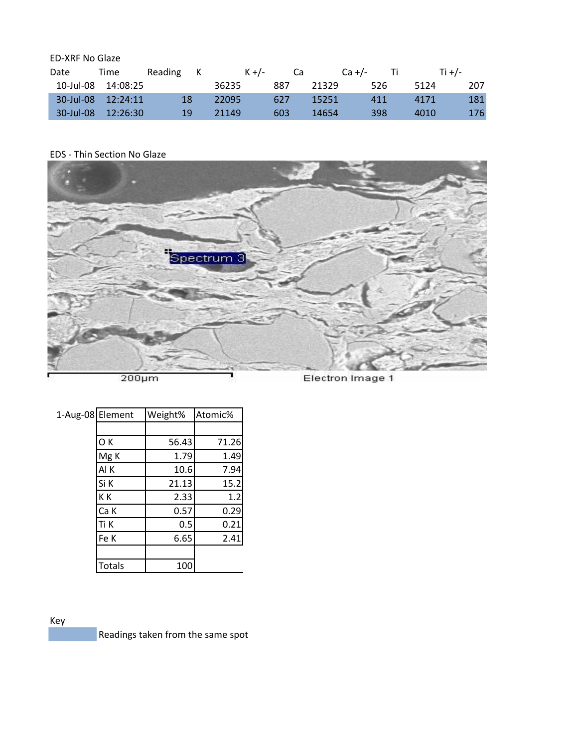## ED-XRF No Glaze

| Date      | Time                    | Reading | K | $K + / -$ | Ca  | $Ca +/-$ | $\mathbf{H}$ | Ti $+/-$ |     |
|-----------|-------------------------|---------|---|-----------|-----|----------|--------------|----------|-----|
| 10-Jul-08 | 14:08:25                |         |   | 36235     | 887 | 21329    | 526          | 5124     | 207 |
|           | 30-Jul-08 12:24:11      | 18      |   | 22095     | 627 | 15251    | 411          | 4171     | 181 |
|           | $30$ -Jul-08 $12:26:30$ | 19      |   | 21149     | 603 | 14654    | 398          | 4010     | 176 |

## EDS - Thin Section No Glaze



| 1-Aug-08 Element |                 | Weight% | Atomic% |
|------------------|-----------------|---------|---------|
|                  |                 |         |         |
|                  | OK              | 56.43   | 71.26   |
|                  | Mg <sub>K</sub> | 1.79    | 1.49    |
|                  | Al K            | 10.6    | 7.94    |
|                  | Si K            | 21.13   | 15.2    |
|                  | KK              | 2.33    | 1.2     |
|                  | Ca K            | 0.57    | 0.29    |
|                  | Ti K            | 0.5     | 0.21    |
|                  | Fe K            | 6.65    | 2.41    |
|                  |                 |         |         |
|                  | <b>Totals</b>   | 100     |         |

## Key

Readings taken from the same spot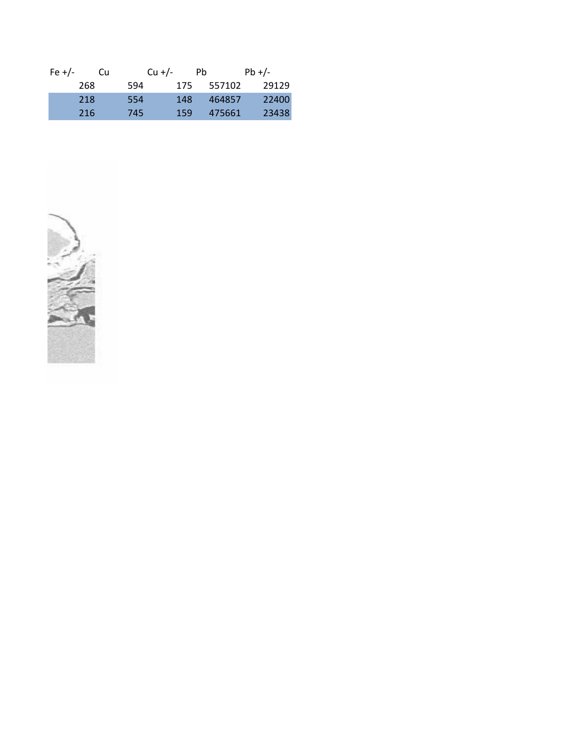| Fe $+/-$ | Cu  | $Cu +/-$ | Ph  |        | $Pb +/-$ |
|----------|-----|----------|-----|--------|----------|
|          | 268 | 594      | 175 | 557102 | 29129    |
|          | 218 | 554      | 148 | 464857 | 22400    |
|          | 216 | 745      | 159 | 475661 | 23438    |